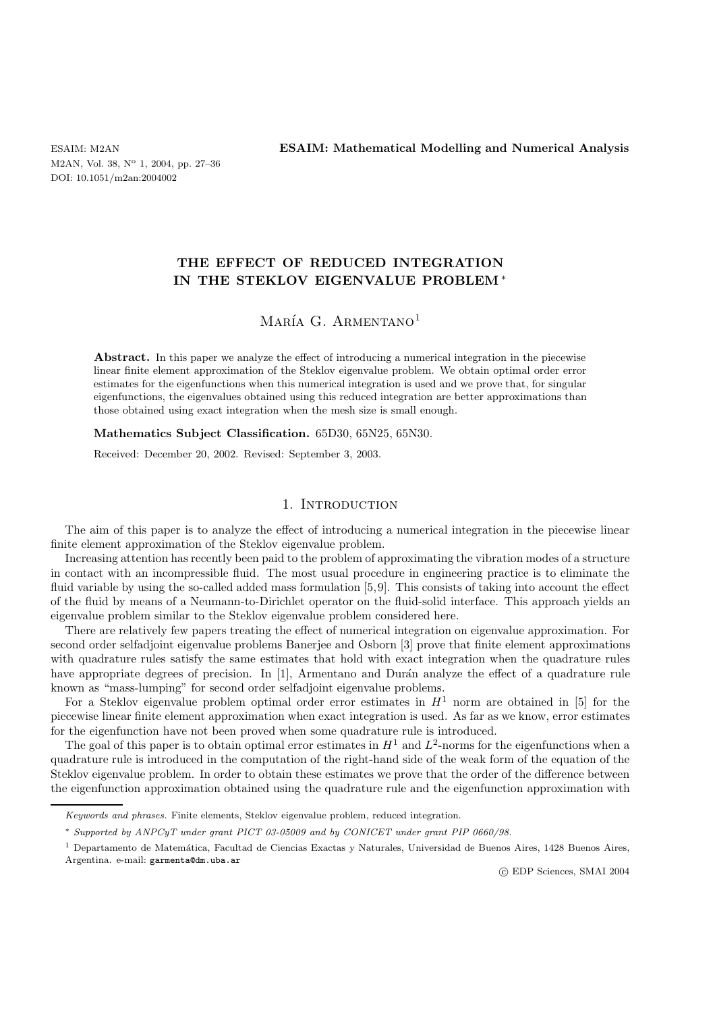M2AN, Vol. 38, N° 1, 2004, pp. 27-36 DOI: 10.1051/m2an:2004002

ESAIM: M2AN **ESAIM: Mathematical Modelling and Numerical Analysis**

# **THE EFFECT OF REDUCED INTEGRATION IN THE STEKLOV EIGENVALUE PROBLEM** ∗

# MARÍA G. ARMENTANO<sup>1</sup>

**Abstract.** In this paper we analyze the effect of introducing a numerical integration in the piecewise linear finite element approximation of the Steklov eigenvalue problem. We obtain optimal order error estimates for the eigenfunctions when this numerical integration is used and we prove that, for singular eigenfunctions, the eigenvalues obtained using this reduced integration are better approximations than those obtained using exact integration when the mesh size is small enough.

**Mathematics Subject Classification.** 65D30, 65N25, 65N30.

Received: December 20, 2002. Revised: September 3, 2003.

### 1. INTRODUCTION

The aim of this paper is to analyze the effect of introducing a numerical integration in the piecewise linear finite element approximation of the Steklov eigenvalue problem.

Increasing attention has recently been paid to the problem of approximating the vibration modes of a structure in contact with an incompressible fluid. The most usual procedure in engineering practice is to eliminate the fluid variable by using the so-called added mass formulation [5,9]. This consists of taking into account the effect of the fluid by means of a Neumann-to-Dirichlet operator on the fluid-solid interface. This approach yields an eigenvalue problem similar to the Steklov eigenvalue problem considered here.

There are relatively few papers treating the effect of numerical integration on eigenvalue approximation. For second order selfadjoint eigenvalue problems Banerjee and Osborn [3] prove that finite element approximations with quadrature rules satisfy the same estimates that hold with exact integration when the quadrature rules have appropriate degrees of precision. In  $[1]$ , Armentano and Durán analyze the effect of a quadrature rule known as "mass-lumping" for second order selfadjoint eigenvalue problems.

For a Steklov eigenvalue problem optimal order error estimates in  $H<sup>1</sup>$  norm are obtained in [5] for the piecewise linear finite element approximation when exact integration is used. As far as we know, error estimates for the eigenfunction have not been proved when some quadrature rule is introduced.

The goal of this paper is to obtain optimal error estimates in  $H<sup>1</sup>$  and  $L<sup>2</sup>$ -norms for the eigenfunctions when a quadrature rule is introduced in the computation of the right-hand side of the weak form of the equation of the Steklov eigenvalue problem. In order to obtain these estimates we prove that the order of the difference between the eigenfunction approximation obtained using the quadrature rule and the eigenfunction approximation with

c EDP Sciences, SMAI 2004

Keywords and phrases. Finite elements, Steklov eigenvalue problem, reduced integration.

<sup>∗</sup> Supported by ANPCyT under grant PICT 03-05009 and by CONICET under grant PIP 0660/98.

 $1$  Departamento de Matemática, Facultad de Ciencias Exactas y Naturales, Universidad de Buenos Aires, 1428 Buenos Aires, Argentina. e-mail: garmenta@dm.uba.ar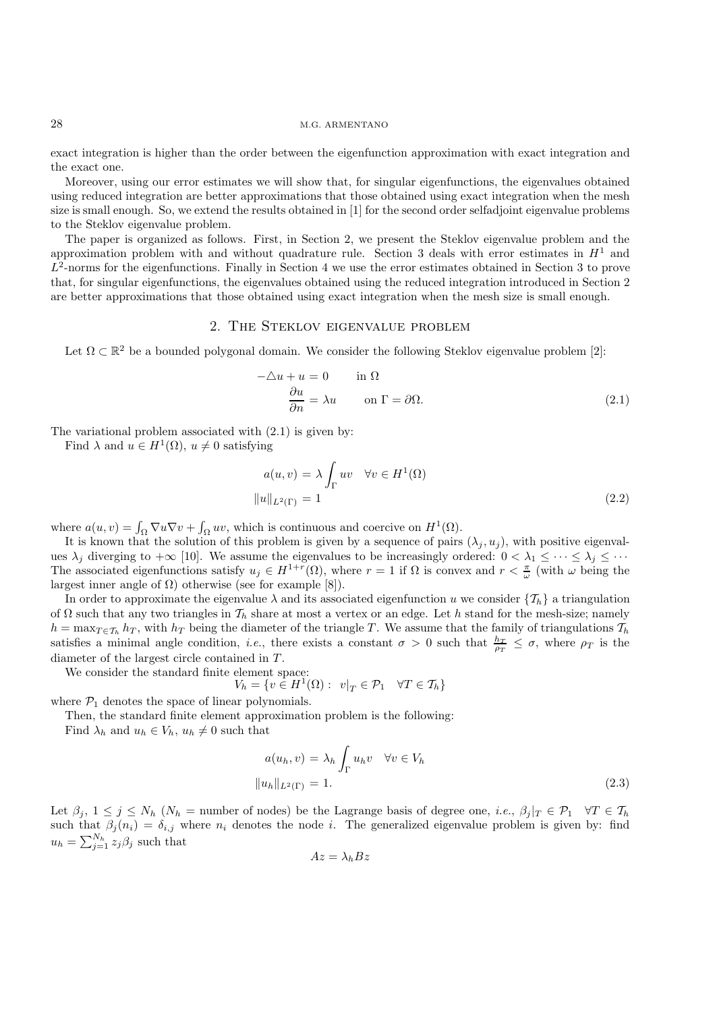#### 28 M.G. ARMENTANO

exact integration is higher than the order between the eigenfunction approximation with exact integration and the exact one.

Moreover, using our error estimates we will show that, for singular eigenfunctions, the eigenvalues obtained using reduced integration are better approximations that those obtained using exact integration when the mesh size is small enough. So, we extend the results obtained in [1] for the second order selfadjoint eigenvalue problems to the Steklov eigenvalue problem.

The paper is organized as follows. First, in Section 2, we present the Steklov eigenvalue problem and the approximation problem with and without quadrature rule. Section 3 deals with error estimates in  $H<sup>1</sup>$  and  $L^2$ -norms for the eigenfunctions. Finally in Section 4 we use the error estimates obtained in Section 3 to prove that, for singular eigenfunctions, the eigenvalues obtained using the reduced integration introduced in Section 2 are better approximations that those obtained using exact integration when the mesh size is small enough.

### 2. The Steklov eigenvalue problem

Let  $\Omega \subset \mathbb{R}^2$  be a bounded polygonal domain. We consider the following Steklov eigenvalue problem [2]:

$$
-\Delta u + u = 0 \qquad \text{in } \Omega
$$

$$
\frac{\partial u}{\partial n} = \lambda u \qquad \text{on } \Gamma = \partial \Omega.
$$
 (2.1)

The variational problem associated with (2.1) is given by:

Find  $\lambda$  and  $u \in H^1(\Omega)$ ,  $u \neq 0$  satisfying

$$
a(u, v) = \lambda \int_{\Gamma} uv \quad \forall v \in H^{1}(\Omega)
$$

$$
||u||_{L^{2}(\Gamma)} = 1
$$
 (2.2)

where  $a(u, v) = \int_{\Omega} \nabla u \nabla v + \int_{\Omega} uv$ , which is continuous and coercive on  $H^1(\Omega)$ .

It is known that the solution of this problem is given by a sequence of pairs  $(\lambda_i, u_i)$ , with positive eigenvalues  $\lambda_j$  diverging to  $+\infty$  [10]. We assume the eigenvalues to be increasingly ordered:  $0 < \lambda_1 \leq \cdots \leq \lambda_j \leq \cdots$ The associated eigenfunctions satisfy  $u_j \in H^{1+r}(\Omega)$ , where  $r=1$  if  $\Omega$  is convex and  $r < \frac{\pi}{\omega}$  (with  $\omega$  being the largest inner angle of  $Ω$ ) otherwise (see for example [8]).

In order to approximate the eigenvalue  $\lambda$  and its associated eigenfunction u we consider  $\{\mathcal{T}_h\}$  a triangulation of  $\Omega$  such that any two triangles in  $\mathcal{T}_h$  share at most a vertex or an edge. Let h stand for the mesh-size; namely  $h = \max_{T \in \mathcal{T}_h} h_T$ , with  $h_T$  being the diameter of the triangle T. We assume that the family of triangulations  $\mathcal{T}_h$ satisfies a minimal angle condition, *i.e.*, there exists a constant  $\sigma > 0$  such that  $\frac{h_T}{\rho_T} \leq \sigma$ , where  $\rho_T$  is the diameter of the largest circle contained in T .

We consider the standard finite element space:

 $V_h = \{ v \in H^1(\Omega) : v|_T \in \mathcal{P}_1 \quad \forall T \in \mathcal{T}_h \}$ 

where  $P_1$  denotes the space of linear polynomials.

Then, the standard finite element approximation problem is the following:

Find  $\lambda_h$  and  $u_h \in V_h$ ,  $u_h \neq 0$  such that

$$
a(u_h, v) = \lambda_h \int_{\Gamma} u_h v \quad \forall v \in V_h
$$
  

$$
||u_h||_{L^2(\Gamma)} = 1.
$$
 (2.3)

Let  $\beta_i$ ,  $1 \leq j \leq N_h$  ( $N_h$  = number of nodes) be the Lagrange basis of degree one, *i.e.*,  $\beta_i|_T \in \mathcal{P}_1 \quad \forall T \in \mathcal{T}_h$ such that  $\beta_j(n_i) = \delta_{i,j}$  where  $n_i$  denotes the node i. The generalized eigenvalue problem is given by: find  $u_h = \sum_{j=1}^{N_h} z_j \beta_j$  such that

$$
Az=\lambda_h Bz
$$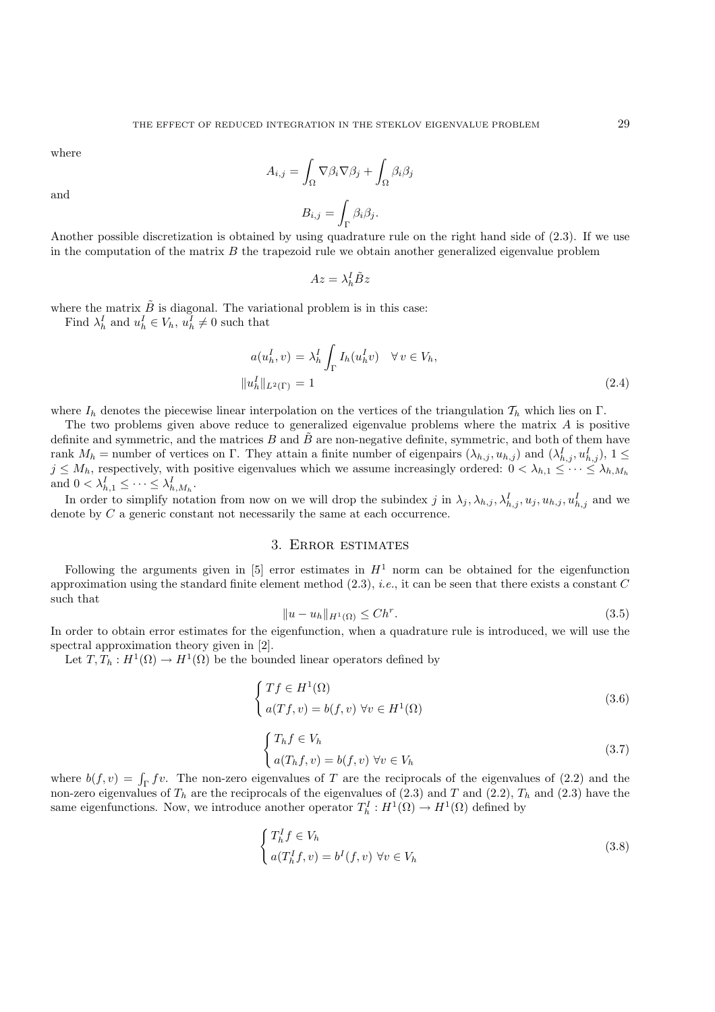where

$$
A_{i,j} = \int_{\Omega} \nabla \beta_i \nabla \beta_j + \int_{\Omega} \beta_i \beta_j
$$

and

$$
B_{i,j} = \int_{\Gamma} \beta_i \beta_j.
$$

Another possible discretization is obtained by using quadrature rule on the right hand side of (2.3). If we use in the computation of the matrix  $B$  the trapezoid rule we obtain another generalized eigenvalue problem

$$
Az=\lambda_h^I\tilde{B}z
$$

where the matrix  $\tilde{B}$  is diagonal. The variational problem is in this case:

Find  $\lambda_h^I$  and  $u_h^I \in V_h$ ,  $u_h^I \neq 0$  such that

$$
a(u_h^I, v) = \lambda_h^I \int_{\Gamma} I_h(u_h^I v) \quad \forall v \in V_h,
$$
  

$$
||u_h^I||_{L^2(\Gamma)} = 1
$$
 (2.4)

where  $I_h$  denotes the piecewise linear interpolation on the vertices of the triangulation  $\mathcal{T}_h$  which lies on Γ.

The two problems given above reduce to generalized eigenvalue problems where the matrix A is positive definite and symmetric, and the matrices B and  $\tilde{B}$  are non-negative definite, symmetric, and both of them have rank  $M_h$  = number of vertices on  $\Gamma$ . They attain a finite number of eigenpairs  $(\lambda_{h,j}, u_{h,j})$  and  $(\lambda_{h,j}^I, u_{h,j}^I)$ ,  $1 \leq$  $j \leq M_h$ , respectively, with positive eigenvalues which we assume increasingly ordered:  $0 < \lambda_{h,1} \leq \cdots \leq \lambda_{h,M_h}$ and  $0 < \lambda_{h,1}^I \leq \cdots \leq \lambda_{h,M_h}^I$ .

In order to simplify notation from now on we will drop the subindex j in  $\lambda_j$ ,  $\lambda_{h,j}$ ,  $\lambda_{h,j}$ ,  $u_j$ ,  $u_{h,j}$ ,  $u_{h,j}$  and we denote by  $C$  a generic constant not necessarily the same at each occurrence.

## 3. Error estimates

Following the arguments given in [5] error estimates in  $H<sup>1</sup>$  norm can be obtained for the eigenfunction approximation using the standard finite element method (2.3), *i.e.*, it can be seen that there exists a constant C such that

$$
||u - u_h||_{H^1(\Omega)} \le Ch^r.
$$
\n(3.5)

In order to obtain error estimates for the eigenfunction, when a quadrature rule is introduced, we will use the spectral approximation theory given in [2].

Let  $T, T_h : H^1(\Omega) \to H^1(\Omega)$  be the bounded linear operators defined by

$$
\begin{cases}\nTf \in H^{1}(\Omega) \\
a(Tf, v) = b(f, v) \,\forall v \in H^{1}(\Omega)\n\end{cases}
$$
\n(3.6)

$$
\begin{cases}\nT_h f \in V_h \\
a(T_h f, v) = b(f, v) \,\forall v \in V_h\n\end{cases}
$$
\n(3.7)

where  $b(f, v) = \int_{\Gamma} f v$ . The non-zero eigenvalues of T are the reciprocals of the eigenvalues of (2.2) and the non-zero eigenvalues of  $T_h$  are the reciprocals of the eigenvalues of (2.3) and T and (2.2),  $T_h$  and (2.3) have the same eigenfunctions. Now, we introduce another operator  $T_h^I : H^1(\Omega) \to H^1(\Omega)$  defined by

$$
\begin{cases}\nT_h^I f \in V_h \\
a(T_h^I f, v) = b^I(f, v) \,\forall v \in V_h\n\end{cases} \tag{3.8}
$$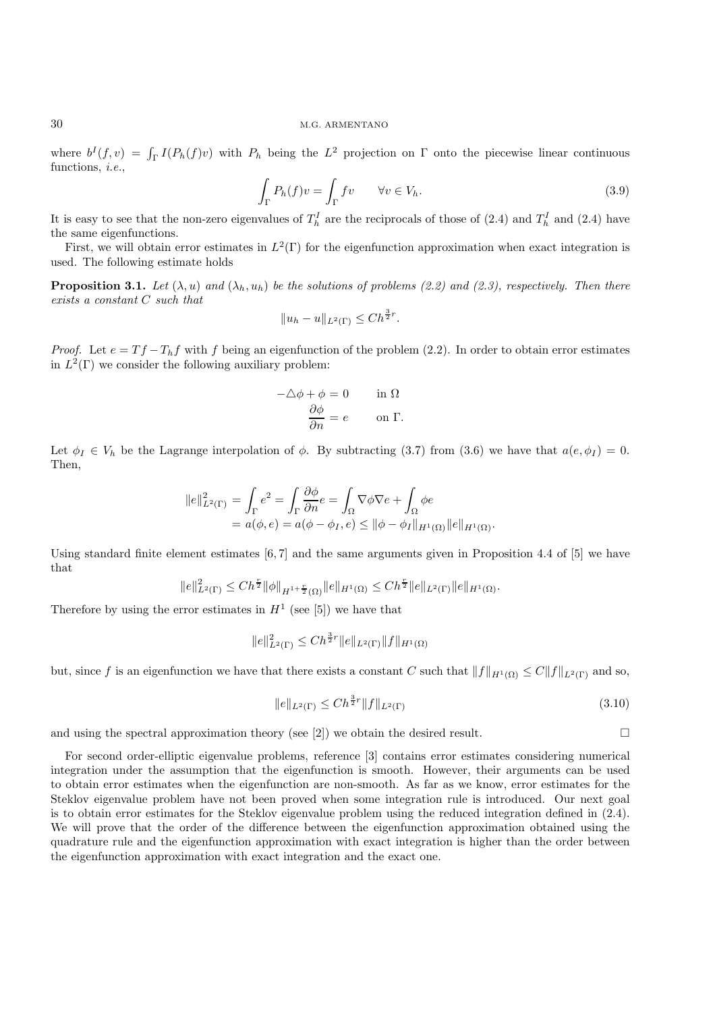### 30 M.G. ARMENTANO

where  $b^I(f, v) = \int_{\Gamma} I(P_h(f)v)$  with  $P_h$  being the  $L^2$  projection on  $\Gamma$  onto the piecewise linear continuous functions, *i.e.*,

$$
\int_{\Gamma} P_h(f)v = \int_{\Gamma} fv \qquad \forall v \in V_h.
$$
\n(3.9)

It is easy to see that the non-zero eigenvalues of  $T_h^I$  are the reciprocals of those of (2.4) and  $T_h^I$  and (2.4) have the same eigenfunctions.

First, we will obtain error estimates in  $L^2(\Gamma)$  for the eigenfunction approximation when exact integration is used. The following estimate holds

**Proposition 3.1.** *Let*  $(\lambda, u)$  *and*  $(\lambda_h, u_h)$  *be the solutions of problems (2.2) and (2.3), respectively. Then there exists a constant* C *such that*

$$
||u_h - u||_{L^2(\Gamma)} \le Ch^{\frac{3}{2}r}.
$$

*Proof.* Let  $e = Tf - T_h f$  with f being an eigenfunction of the problem (2.2). In order to obtain error estimates in  $L^2(\Gamma)$  we consider the following auxiliary problem:

$$
-\Delta \phi + \phi = 0 \quad \text{in } \Omega
$$

$$
\frac{\partial \phi}{\partial n} = e \quad \text{on } \Gamma.
$$

Let  $\phi_I \in V_h$  be the Lagrange interpolation of  $\phi$ . By subtracting (3.7) from (3.6) we have that  $a(e, \phi_I) = 0$ . Then,

$$
||e||_{L^2(\Gamma)}^2 = \int_{\Gamma} e^2 = \int_{\Gamma} \frac{\partial \phi}{\partial n} e = \int_{\Omega} \nabla \phi \nabla e + \int_{\Omega} \phi e
$$
  
=  $a(\phi, e) = a(\phi - \phi_I, e) \le ||\phi - \phi_I||_{H^1(\Omega)} ||e||_{H^1(\Omega)}.$ 

Using standard finite element estimates [6, 7] and the same arguments given in Proposition 4.4 of [5] we have that

$$
||e||_{L^{2}(\Gamma)}^{2} \leq Ch^{\frac{r}{2}} ||\phi||_{H^{1+\frac{r}{2}}(\Omega)} ||e||_{H^{1}(\Omega)} \leq Ch^{\frac{r}{2}} ||e||_{L^{2}(\Gamma)} ||e||_{H^{1}(\Omega)}.
$$

Therefore by using the error estimates in  $H<sup>1</sup>$  (see [5]) we have that

$$
||e||_{L^{2}(\Gamma)}^{2} \leq Ch^{\frac{3}{2}r}||e||_{L^{2}(\Gamma)}||f||_{H^{1}(\Omega)}
$$

but, since f is an eigenfunction we have that there exists a constant C such that  $||f||_{H^1(\Omega)} \leq C||f||_{L^2(\Gamma)}$  and so,

$$
||e||_{L^{2}(\Gamma)} \leq C h^{\frac{3}{2}r} ||f||_{L^{2}(\Gamma)}
$$
\n(3.10)

and using the spectral approximation theory (see [2]) we obtain the desired result.  $\square$ 

For second order-elliptic eigenvalue problems, reference [3] contains error estimates considering numerical integration under the assumption that the eigenfunction is smooth. However, their arguments can be used to obtain error estimates when the eigenfunction are non-smooth. As far as we know, error estimates for the Steklov eigenvalue problem have not been proved when some integration rule is introduced. Our next goal is to obtain error estimates for the Steklov eigenvalue problem using the reduced integration defined in (2.4). We will prove that the order of the difference between the eigenfunction approximation obtained using the quadrature rule and the eigenfunction approximation with exact integration is higher than the order between the eigenfunction approximation with exact integration and the exact one.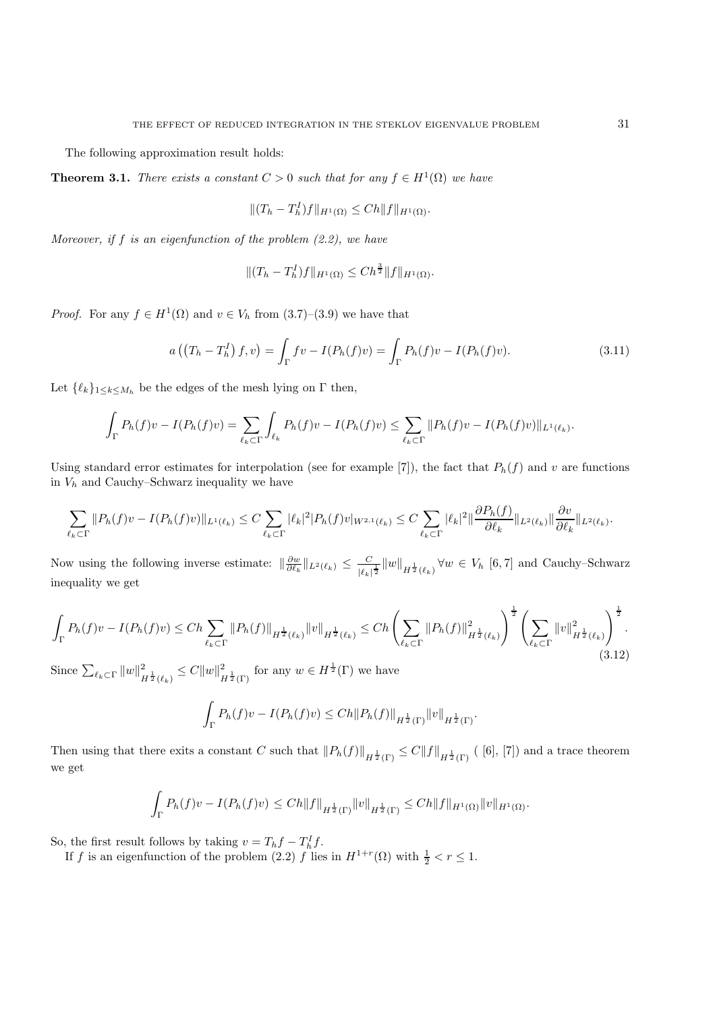The following approximation result holds:

**Theorem 3.1.** *There exists a constant*  $C > 0$  *such that for any*  $f \in H^1(\Omega)$  *we have* 

$$
|| (T_h - T_h^I) f ||_{H^1(\Omega)} \le C h ||f||_{H^1(\Omega)}.
$$

*Moreover, if* f *is an eigenfunction of the problem (2.2), we have*

$$
|| (T_h - T_h^I) f ||_{H^1(\Omega)} \leq C h^{\frac{3}{2}} || f ||_{H^1(\Omega)}.
$$

*Proof.* For any  $f \in H^1(\Omega)$  and  $v \in V_h$  from  $(3.7)-(3.9)$  we have that

$$
a((T_h - T_h^I) f, v) = \int_{\Gamma} f v - I(P_h(f)v) = \int_{\Gamma} P_h(f)v - I(P_h(f)v).
$$
 (3.11)

Let  $\{\ell_k\}_{1\leq k\leq M_h}$  be the edges of the mesh lying on  $\Gamma$  then,

$$
\int_{\Gamma} P_h(f)v - I(P_h(f)v) = \sum_{\ell_k \subset \Gamma} \int_{\ell_k} P_h(f)v - I(P_h(f)v) \leq \sum_{\ell_k \subset \Gamma} ||P_h(f)v - I(P_h(f)v)||_{L^1(\ell_k)}.
$$

Using standard error estimates for interpolation (see for example [7]), the fact that  $P_h(f)$  and v are functions in  $V_h$  and Cauchy–Schwarz inequality we have

$$
\sum_{\ell_k \subset \Gamma} \|P_h(f)v - I(P_h(f)v)\|_{L^1(\ell_k)} \leq C \sum_{\ell_k \subset \Gamma} |\ell_k|^2 |P_h(f)v|_{W^{2,1}(\ell_k)} \leq C \sum_{\ell_k \subset \Gamma} |\ell_k|^2 \|\frac{\partial P_h(f)}{\partial \ell_k}\|_{L^2(\ell_k)} \|\frac{\partial v}{\partial \ell_k}\|_{L^2(\ell_k)}.
$$

Now using the following inverse estimate:  $\|\frac{\partial w}{\partial \ell_k}\|_{L^2(\ell_k)} \leq \frac{C}{|\ell_k|^{\frac{1}{2}}} \|w\|_{H^{\frac{1}{2}}(\ell_k)} \forall w \in V_h [6, 7]$  and Cauchy–Schwarz inequality we get

$$
\int_{\Gamma} P_h(f)v - I(P_h(f)v) \le Ch \sum_{\ell_k \subset \Gamma} ||P_h(f)||_{H^{\frac{1}{2}}(\ell_k)} ||v||_{H^{\frac{1}{2}}(\ell_k)} \le Ch \left(\sum_{\ell_k \subset \Gamma} ||P_h(f)||_{H^{\frac{1}{2}}(\ell_k)}^2\right)^{\frac{1}{2}} \left(\sum_{\ell_k \subset \Gamma} ||v||_{H^{\frac{1}{2}}(\ell_k)}^2\right)^{\frac{1}{2}}.
$$
\n(3.12)

Since  $\sum_{\ell_k \subset \Gamma} ||w||^2_{H^{\frac{1}{2}}(\ell_k)} \leq C||w||^2_{H^{\frac{1}{2}}(\Gamma)}$  for any  $w \in H^{\frac{1}{2}}(\Gamma)$  we have

$$
\int_{\Gamma} P_h(f)v - I(P_h(f)v) \leq Ch \|P_h(f)\|_{H^{\frac{1}{2}}(\Gamma)} \|v\|_{H^{\frac{1}{2}}(\Gamma)}.
$$

Then using that there exits a constant C such that  $||P_h(f)||_{H^{\frac{1}{2}}(\Gamma)} \leq C||f||_{H^{\frac{1}{2}}(\Gamma)}$  ([6], [7]) and a trace theorem we get

$$
\int_{\Gamma} P_h(f)v - I(P_h(f)v) \leq Ch \|f\|_{H^{\frac{1}{2}}(\Gamma)} \|v\|_{H^{\frac{1}{2}}(\Gamma)} \leq Ch \|f\|_{H^1(\Omega)} \|v\|_{H^1(\Omega)}.
$$

So, the first result follows by taking  $v = T_h f - T_h^I f$ .

If f is an eigenfunction of the problem (2.2) f lies in  $H^{1+r}(\Omega)$  with  $\frac{1}{2} < r \leq 1$ .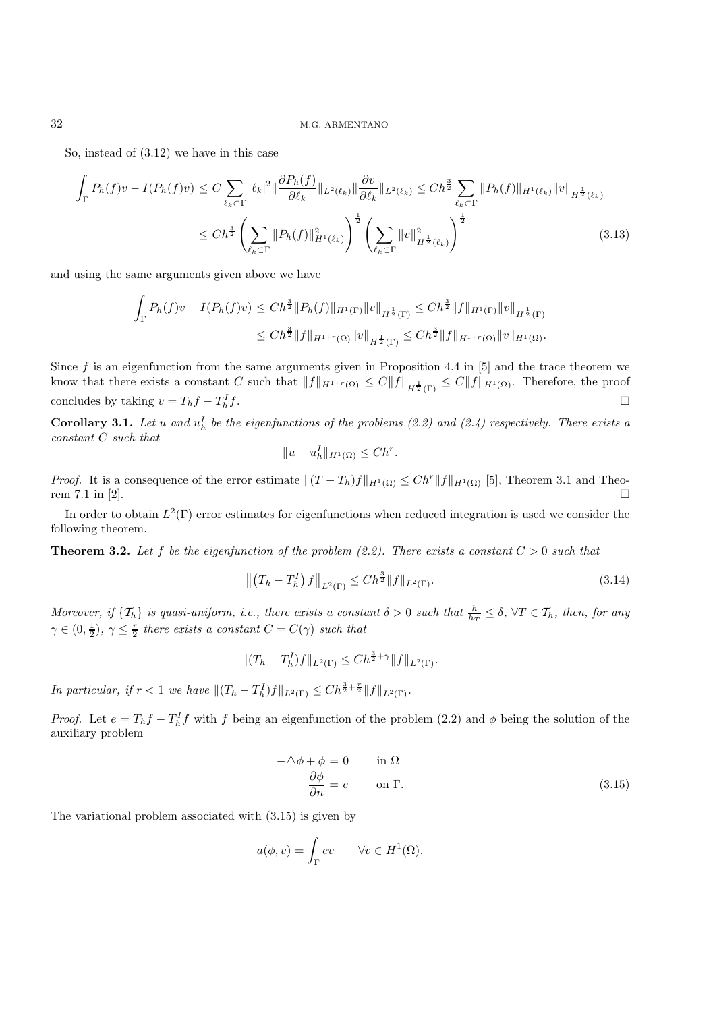So, instead of (3.12) we have in this case

$$
\int_{\Gamma} P_h(f)v - I(P_h(f)v) \leq C \sum_{\ell_k \subset \Gamma} |\ell_k|^2 \|\frac{\partial P_h(f)}{\partial \ell_k}\|_{L^2(\ell_k)} \|\frac{\partial v}{\partial \ell_k}\|_{L^2(\ell_k)} \leq Ch^{\frac{3}{2}} \sum_{\ell_k \subset \Gamma} \|P_h(f)\|_{H^1(\ell_k)} \|v\|_{H^{\frac{1}{2}}(\ell_k)}
$$
\n
$$
\leq Ch^{\frac{3}{2}} \left(\sum_{\ell_k \subset \Gamma} \|P_h(f)\|_{H^1(\ell_k)}^2\right)^{\frac{1}{2}} \left(\sum_{\ell_k \subset \Gamma} \|v\|_{H^{\frac{1}{2}}(\ell_k)}^2\right)^{\frac{1}{2}} \tag{3.13}
$$

and using the same arguments given above we have

$$
\int_{\Gamma} P_h(f)v - I(P_h(f)v) \leq Ch^{\frac{3}{2}} \|P_h(f)\|_{H^1(\Gamma)} \|v\|_{H^{\frac{1}{2}}(\Gamma)} \leq Ch^{\frac{3}{2}} \|f\|_{H^1(\Gamma)} \|v\|_{H^{\frac{1}{2}}(\Gamma)} \leq Ch^{\frac{3}{2}} \|f\|_{H^{1+r}(\Omega)} \|v\|_{H^{\frac{1}{2}}(\Gamma)} \leq Ch^{\frac{3}{2}} \|f\|_{H^{1+r}(\Omega)} \|v\|_{H^1(\Omega)}.
$$

Since f is an eigenfunction from the same arguments given in Proposition 4.4 in  $[5]$  and the trace theorem we know that there exists a constant C such that  $||f||_{H^{1+r}(\Omega)} \leq C||f||_{H^{\frac{1}{2}}(\Gamma)} \leq C||f||_{H^1(\Omega)}$ . Therefore, the proof concludes by taking  $v = T_h f - T_h^I f$ .  $\mathbb{L}^1_h f$ .

**Corollary 3.1.** Let u and  $u_h^I$  be the eigenfunctions of the problems (2.2) and (2.4) respectively. There exists a *constant* C *such that*

$$
||u - u_h^I||_{H^1(\Omega)} \le Ch^r.
$$

*Proof.* It is a consequence of the error estimate  $\|(T - T_h)f\|_{H^1(\Omega)} \leq Ch^r \|f\|_{H^1(\Omega)}$  [5], Theorem 3.1 and Theorem 7.1 in [2].

In order to obtain  $L^2(\Gamma)$  error estimates for eigenfunctions when reduced integration is used we consider the following theorem.

**Theorem 3.2.** Let f be the eigenfunction of the problem  $(2.2)$ . There exists a constant  $C > 0$  such that

$$
\left\| \left( T_h - T_h^I \right) f \right\|_{L^2(\Gamma)} \le C h^{\frac{3}{2}} \| f \|_{L^2(\Gamma)}.
$$
\n(3.14)

*Moreover, if*  $\{T_h\}$  *is quasi-uniform, i.e., there exists a constant*  $\delta > 0$  *such that*  $\frac{h}{h_T} \leq \delta$ ,  $\forall T \in T_h$ *, then, for any*  $\gamma \in (0, \frac{1}{2}), \gamma \leq \frac{r}{2}$  there exists a constant  $C = C(\gamma)$  such that

$$
|| (T_h - T_h^I) f ||_{L^2(\Gamma)} \le C h^{\frac{3}{2} + \gamma} ||f||_{L^2(\Gamma)}.
$$

*In particular, if*  $r < 1$  *we have*  $||(T_h - T_h^I)f||_{L^2(\Gamma)} \leq Ch^{\frac{3}{2} + \frac{r}{2}}||f||_{L^2(\Gamma)}$ .

*Proof.* Let  $e = T_h f - T_h^I f$  with f being an eigenfunction of the problem (2.2) and  $\phi$  being the solution of the auxiliary problem

$$
-\Delta \phi + \phi = 0 \qquad \text{in } \Omega
$$
  

$$
\frac{\partial \phi}{\partial n} = e \qquad \text{on } \Gamma.
$$
 (3.15)

The variational problem associated with (3.15) is given by

$$
a(\phi, v) = \int_{\Gamma} ev \qquad \forall v \in H^1(\Omega).
$$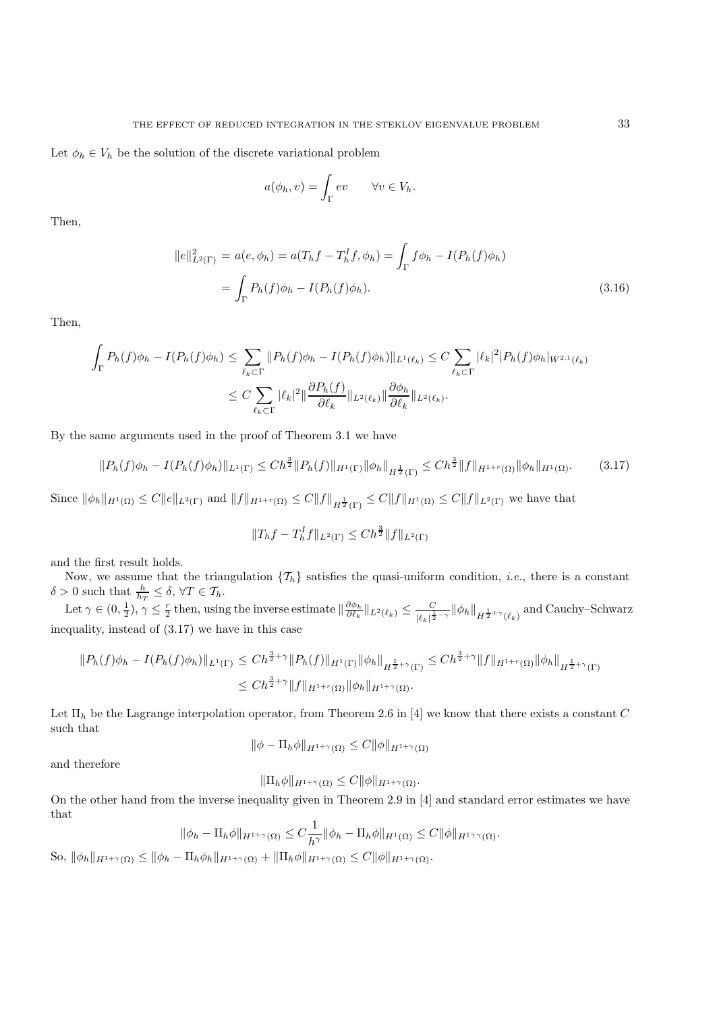Let  $\phi_h \in V_h$  be the solution of the discrete variational problem

$$
a(\phi_h, v) = \int_{\Gamma} ev \qquad \forall v \in V_h.
$$

Then,

$$
||e||_{L^{2}(\Gamma)}^{2} = a(e, \phi_{h}) = a(T_{h}f - T_{h}^{I}f, \phi_{h}) = \int_{\Gamma} f\phi_{h} - I(P_{h}(f)\phi_{h})
$$
  
= 
$$
\int_{\Gamma} P_{h}(f)\phi_{h} - I(P_{h}(f)\phi_{h}).
$$
 (3.16)

Then,

$$
\int_{\Gamma} P_h(f)\phi_h - I(P_h(f)\phi_h) \leq \sum_{\ell_k \subset \Gamma} \|P_h(f)\phi_h - I(P_h(f)\phi_h)\|_{L^1(\ell_k)} \leq C \sum_{\ell_k \subset \Gamma} |\ell_k|^2 |P_h(f)\phi_h|_{W^{2,1}(\ell_k)}
$$
\n
$$
\leq C \sum_{\ell_k \subset \Gamma} |\ell_k|^2 \|\frac{\partial P_h(f)}{\partial \ell_k}\|_{L^2(\ell_k)} \|\frac{\partial \phi_h}{\partial \ell_k}\|_{L^2(\ell_k)}.
$$

By the same arguments used in the proof of Theorem 3.1 we have

$$
||P_h(f)\phi_h - I(P_h(f)\phi_h)||_{L^1(\Gamma)} \le Ch^{\frac{3}{2}}||P_h(f)||_{H^1(\Gamma)}||\phi_h||_{H^{\frac{1}{2}}(\Gamma)} \le Ch^{\frac{3}{2}}||f||_{H^{1+r}(\Omega)}||\phi_h||_{H^1(\Omega)}.\tag{3.17}
$$

Since  $\|\phi_h\|_{H^1(\Omega)} \leq C \|e\|_{L^2(\Gamma)}$  and  $||f||_{H^{1+r}(\Omega)} \leq C||f||_{H^{\frac{1}{2}}(\Gamma)} \leq C||f||_{H^1(\Omega)} \leq C||f||_{L^2(\Gamma)}$  we have that

$$
||T_hf - T_h^If||_{L^2(\Gamma)} \le Ch^{\frac{3}{2}}||f||_{L^2(\Gamma)}
$$

and the first result holds.

Now, we assume that the triangulation  $\{\mathcal{T}_h\}$  satisfies the quasi-uniform condition, *i.e.*, there is a constant  $\delta > 0$  such that  $\frac{h}{h_T} \leq \delta, \forall T \in \mathcal{T}_h$ .

Let  $\gamma \in (0, \frac{1}{2}), \gamma \leq \frac{r}{2}$  then, using the inverse estimate  $\|\frac{\partial \phi_h}{\partial \ell_k}\|_{L^2(\ell_k)} \leq \frac{C}{|\ell_k| \frac{1}{2} - \gamma} \|\phi_h\|_{H^{\frac{1}{2}+\gamma}(\ell_k)}$  and Cauchy–Schwarz inequality, instead of (3.17) we have in this case

$$
||P_h(f)\phi_h - I(P_h(f)\phi_h)||_{L^1(\Gamma)} \le Ch^{\frac{3}{2}+\gamma}||P_h(f)||_{H^1(\Gamma)}||\phi_h||_{H^{\frac{1}{2}+\gamma}(\Gamma)} \le Ch^{\frac{3}{2}+\gamma}||f||_{H^{1+r}(\Omega)}||\phi_h||_{H^{\frac{1}{2}+\gamma}(\Gamma)}
$$
  

$$
\le Ch^{\frac{3}{2}+\gamma}||f||_{H^{1+r}(\Omega)}||\phi_h||_{H^{1+\gamma}(\Omega)}.
$$

Let  $\Pi_h$  be the Lagrange interpolation operator, from Theorem 2.6 in [4] we know that there exists a constant C such that

$$
\|\phi - \Pi_h \phi\|_{H^{1+\gamma}(\Omega)} \le C \|\phi\|_{H^{1+\gamma}(\Omega)}
$$

and therefore

$$
\|\Pi_h \phi\|_{H^{1+\gamma}(\Omega)} \le C \|\phi\|_{H^{1+\gamma}(\Omega)}.
$$

On the other hand from the inverse inequality given in Theorem 2.9 in [4] and standard error estimates we have that

$$
\|\phi_h - \Pi_h \phi\|_{H^{1+\gamma}(\Omega)} \leq C \frac{1}{h^{\gamma}} \|\phi_h - \Pi_h \phi\|_{H^1(\Omega)} \leq C \|\phi\|_{H^{1+\gamma}(\Omega)}.
$$

So,  $\|\phi_h\|_{H^{1+\gamma}(\Omega)} \le \|\phi_h - \Pi_h \phi_h\|_{H^{1+\gamma}(\Omega)} + \|\Pi_h \phi\|_{H^{1+\gamma}(\Omega)} \le C \|\phi\|_{H^{1+\gamma}(\Omega)}.$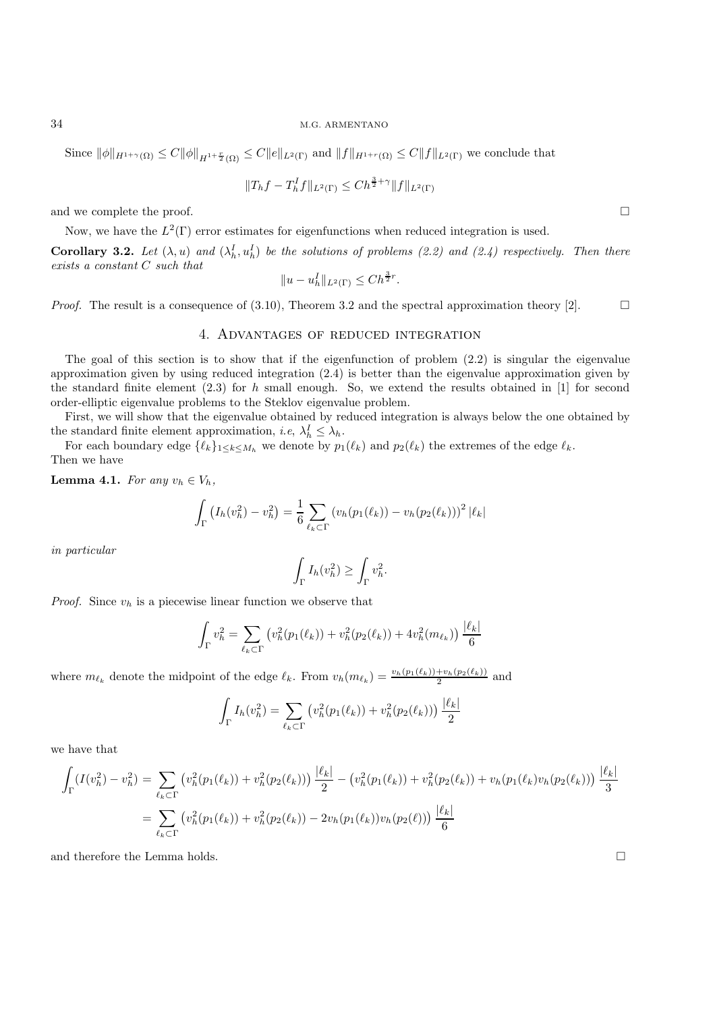### 34 M.G. ARMENTANO

Since  $\|\phi\|_{H^{1+\gamma}(\Omega)} \leq C \|\phi\|_{H^{1+\frac{r}{2}}(\Omega)} \leq C \|e\|_{L^2(\Gamma)}$  and  $\|f\|_{H^{1+r}(\Omega)} \leq C \|f\|_{L^2(\Gamma)}$  we conclude that

$$
||T_hf - T_h^If||_{L^2(\Gamma)} \le Ch^{\frac{3}{2} + \gamma} ||f||_{L^2(\Gamma)}
$$

and we complete the proof.  $\square$ 

Now, we have the  $L^2(\Gamma)$  error estimates for eigenfunctions when reduced integration is used.

**Corollary 3.2.** Let  $(\lambda, u)$  and  $(\lambda_h^I, u_h^I)$  be the solutions of problems (2.2) and (2.4) respectively. Then there *exists a constant* C *such that*

$$
||u - u_h^I||_{L^2(\Gamma)} \le Ch^{\frac{3}{2}r}.
$$

*Proof.* The result is a consequence of  $(3.10)$ , Theorem 3.2 and the spectral approximation theory [2].

## 4. Advantages of reduced integration

The goal of this section is to show that if the eigenfunction of problem (2.2) is singular the eigenvalue approximation given by using reduced integration (2.4) is better than the eigenvalue approximation given by the standard finite element  $(2.3)$  for h small enough. So, we extend the results obtained in [1] for second order-elliptic eigenvalue problems to the Steklov eigenvalue problem.

First, we will show that the eigenvalue obtained by reduced integration is always below the one obtained by the standard finite element approximation, *i.e.*,  $\lambda_h^I \leq \lambda_h$ .

For each boundary edge  $\{\ell_k\}_{1\leq k\leq M_h}$  we denote by  $p_1(\ell_k)$  and  $p_2(\ell_k)$  the extremes of the edge  $\ell_k$ . Then we have

**Lemma 4.1.** *For any*  $v_h \in V_h$ *,* 

$$
\int_{\Gamma} (I_h(v_h^2) - v_h^2) = \frac{1}{6} \sum_{\ell_k \subset \Gamma} (v_h(p_1(\ell_k)) - v_h(p_2(\ell_k)))^2 |\ell_k|
$$

*in particular*

$$
\int_{\Gamma} I_h(v_h^2) \ge \int_{\Gamma} v_h^2.
$$

*Proof.* Since  $v_h$  is a piecewise linear function we observe that

$$
\int_{\Gamma} v_h^2 = \sum_{\ell_k \subset \Gamma} \left( v_h^2(p_1(\ell_k)) + v_h^2(p_2(\ell_k)) + 4v_h^2(m_{\ell_k}) \right) \frac{|\ell_k|}{6}
$$

where  $m_{\ell_k}$  denote the midpoint of the edge  $\ell_k$ . From  $v_h(m_{\ell_k}) = \frac{v_h(p_1(\ell_k)) + v_h(p_2(\ell_k))}{2}$  and

$$
\int_{\Gamma} I_h(v_h^2) = \sum_{\ell_k \subset \Gamma} \left( v_h^2(p_1(\ell_k)) + v_h^2(p_2(\ell_k)) \right) \frac{|\ell_k|}{2}
$$

we have that

$$
\int_{\Gamma} (I(v_h^2) - v_h^2) = \sum_{\ell_k \subset \Gamma} \left( v_h^2(p_1(\ell_k)) + v_h^2(p_2(\ell_k)) \right) \frac{|\ell_k|}{2} - \left( v_h^2(p_1(\ell_k)) + v_h^2(p_2(\ell_k)) + v_h(p_1(\ell_k)v_h(p_2(\ell_k)) \right) \frac{|\ell_k|}{3}
$$
\n
$$
= \sum_{\ell_k \subset \Gamma} \left( v_h^2(p_1(\ell_k)) + v_h^2(p_2(\ell_k)) - 2v_h(p_1(\ell_k))v_h(p_2(\ell)) \right) \frac{|\ell_k|}{6}
$$

and therefore the Lemma holds.  $\square$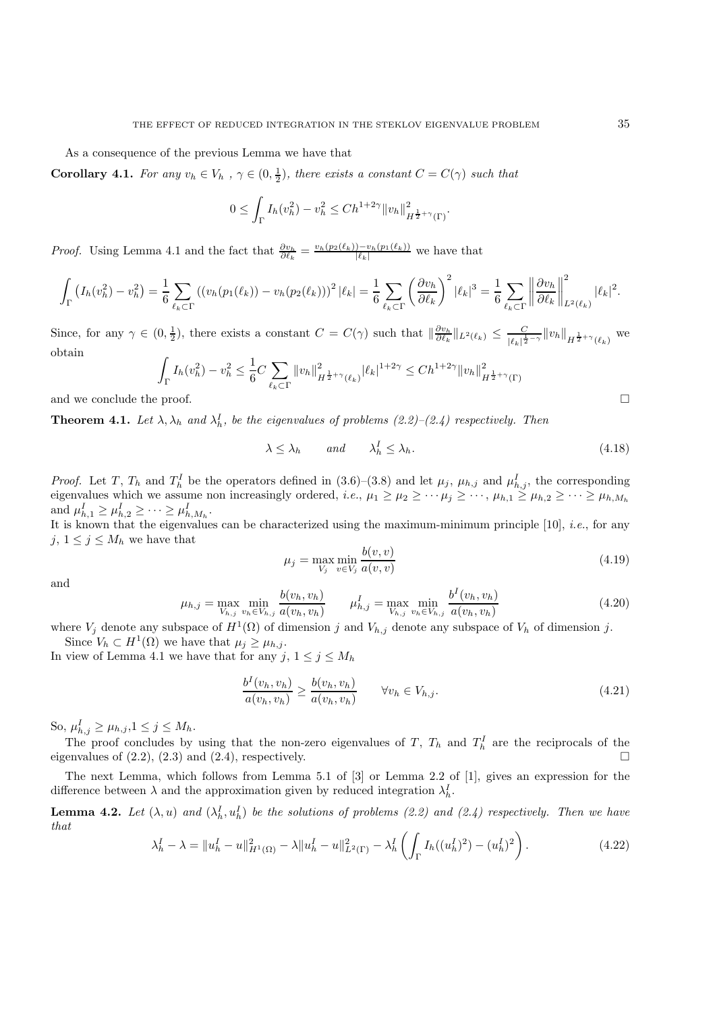As a consequence of the previous Lemma we have that

**Corollary 4.1.** *For any*  $v_h \in V_h$ ,  $\gamma \in (0, \frac{1}{2})$ , there exists a constant  $C = C(\gamma)$  such that

$$
0 \leq \int_{\Gamma} I_h(v_h^2) - v_h^2 \leq C h^{1+2\gamma} \|v_h\|_{H^{\frac{1}{2}+\gamma}(\Gamma)}^2.
$$

*Proof.* Using Lemma 4.1 and the fact that  $\frac{\partial v_h}{\partial \ell_k} = \frac{v_h(p_2(\ell_k)) - v_h(p_1(\ell_k))}{|\ell_k|}$  we have that

$$
\int_{\Gamma} \left( I_h(v_h^2) - v_h^2 \right) = \frac{1}{6} \sum_{\ell_k \subset \Gamma} \left( \left( v_h(p_1(\ell_k)) - v_h(p_2(\ell_k)) \right)^2 |\ell_k| \right) = \frac{1}{6} \sum_{\ell_k \subset \Gamma} \left( \frac{\partial v_h}{\partial \ell_k} \right)^2 |\ell_k|^3 = \frac{1}{6} \sum_{\ell_k \subset \Gamma} \left\| \frac{\partial v_h}{\partial \ell_k} \right\|_{L^2(\ell_k)}^2 |\ell_k|^2.
$$

Since, for any  $\gamma \in (0, \frac{1}{2})$ , there exists a constant  $C = C(\gamma)$  such that  $\|\frac{\partial v_h}{\partial \ell_k}\|_{L^2(\ell_k)} \leq \frac{C}{|\ell_k|^{\frac{1}{2}-\gamma}} \|v_h\|_{H^{\frac{1}{2}+\gamma}(\ell_k)}$  we obtain

$$
\int_{\Gamma} I_h(v_h^2) - v_h^2 \le \frac{1}{6} C \sum_{\ell_k \subset \Gamma} ||v_h||_{H^{\frac{1}{2}+\gamma}(\ell_k)}^2 |\ell_k|^{1+2\gamma} \le Ch^{1+2\gamma} ||v_h||_{H^{\frac{1}{2}+\gamma}(\Gamma)}^2
$$

and we conclude the proof.  $\Box$ 

**Theorem 4.1.** Let  $\lambda$ ,  $\lambda_h$  and  $\lambda_h^I$ , be the eigenvalues of problems (2.2)–(2.4) respectively. Then

$$
\lambda \le \lambda_h \qquad \text{and} \qquad \lambda_h^I \le \lambda_h. \tag{4.18}
$$

*Proof.* Let T,  $T_h$  and  $T_h^I$  be the operators defined in (3.6)–(3.8) and let  $\mu_j$ ,  $\mu_{h,j}$  and  $\mu_{h,j}^I$ , the corresponding eigenvalues which we assume non increasingly ordered, *i.e.*,  $\mu_1 \geq \mu_2 \geq \cdots \mu_j \geq \cdots$ ,  $\mu_{h,1} \geq \mu_{h,2} \geq \cdots \geq \mu_{h,M_h}$ and  $\mu_{h,1}^I \ge \mu_{h,2}^I \ge \cdots \ge \mu_{h,M_h}^I$ .

It is known that the eigenvalues can be characterized using the maximum-minimum principle [10], *i.e.*, for any j,  $1 \leq j \leq M_h$  we have that

$$
\mu_j = \max_{V_j} \min_{v \in V_j} \frac{b(v, v)}{a(v, v)}
$$
\n(4.19)

and

$$
\mu_{h,j} = \max_{V_{h,j}} \min_{v_h \in V_{h,j}} \frac{b(v_h, v_h)}{a(v_h, v_h)} \qquad \mu_{h,j}^I = \max_{V_{h,j}} \min_{v_h \in V_{h,j}} \frac{b^I(v_h, v_h)}{a(v_h, v_h)} \tag{4.20}
$$

where  $V_j$  denote any subspace of  $H^1(\Omega)$  of dimension j and  $V_{h,j}$  denote any subspace of  $V_h$  of dimension j. Since  $V_h \subset H^1(\Omega)$  we have that  $\mu_j \geq \mu_{h,j}$ .

In view of Lemma 4.1 we have that for any j,  $1 \le j \le M_h$ 

$$
\frac{b^I(v_h, v_h)}{a(v_h, v_h)} \ge \frac{b(v_h, v_h)}{a(v_h, v_h)} \qquad \forall v_h \in V_{h,j}.\tag{4.21}
$$

So,  $\mu_{h,j}^I \ge \mu_{h,j}, 1 \le j \le M_h$ .

The proof concludes by using that the non-zero eigenvalues of T,  $T_h$  and  $T_h^I$  are the reciprocals of the eigenvalues of  $(2.2)$ ,  $(2.3)$  and  $(2.4)$ , respectively.

The next Lemma, which follows from Lemma 5.1 of [3] or Lemma 2.2 of [1], gives an expression for the difference between  $\lambda$  and the approximation given by reduced integration  $\lambda_h^I$ .

**Lemma 4.2.** Let  $(\lambda, u)$  and  $(\lambda_h^I, u_h^I)$  be the solutions of problems (2.2) and (2.4) respectively. Then we have *that*

$$
\lambda_h^I - \lambda = \|u_h^I - u\|_{H^1(\Omega)}^2 - \lambda \|u_h^I - u\|_{L^2(\Gamma)}^2 - \lambda_h^I \left( \int_{\Gamma} I_h((u_h^I)^2) - (u_h^I)^2 \right). \tag{4.22}
$$